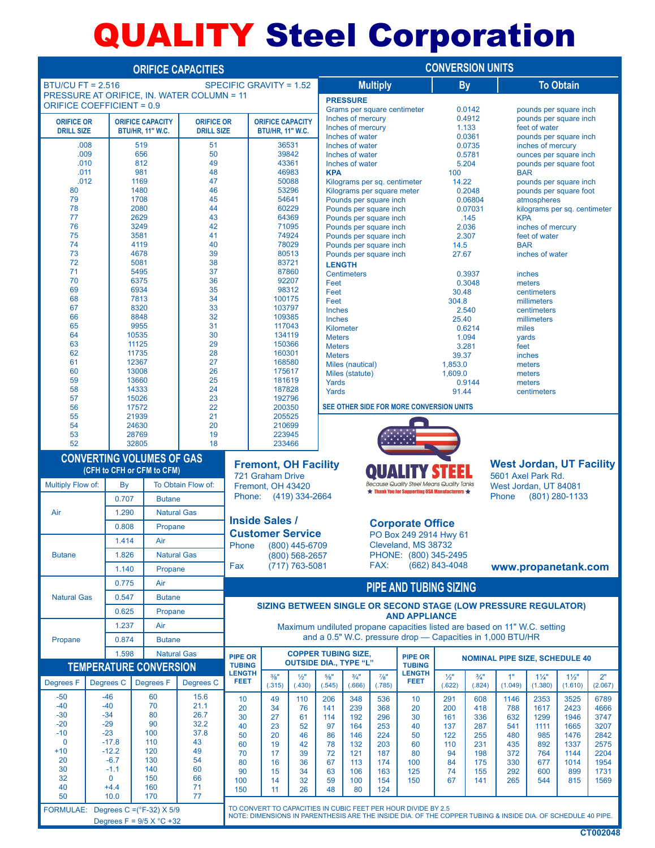## QUALITY Steel Corporation

| <b>ORIFICE CAPACITIES</b>                                                      |                         |                                                              |                                  |                    |                                                                                                             |                                                                | <b>CONVERSION UNITS</b>                        |                                                                |                                                             |                           |                                                       |                                                                                                                                         |                                                  |                                                  |                           |                           |               |  |
|--------------------------------------------------------------------------------|-------------------------|--------------------------------------------------------------|----------------------------------|--------------------|-------------------------------------------------------------------------------------------------------------|----------------------------------------------------------------|------------------------------------------------|----------------------------------------------------------------|-------------------------------------------------------------|---------------------------|-------------------------------------------------------|-----------------------------------------------------------------------------------------------------------------------------------------|--------------------------------------------------|--------------------------------------------------|---------------------------|---------------------------|---------------|--|
| <b>BTU/CU FT = 2.516</b>                                                       | SPECIFIC GRAVITY = 1.52 |                                                              |                                  |                    | <b>Multiply</b>                                                                                             |                                                                |                                                |                                                                | <b>By</b>                                                   |                           | <b>To Obtain</b>                                      |                                                                                                                                         |                                                  |                                                  |                           |                           |               |  |
| PRESSURE AT ORIFICE. IN. WATER COLUMN = 11<br><b>ORIFICE COEFFICIENT = 0.9</b> |                         |                                                              |                                  |                    | <b>PRESSURE</b>                                                                                             |                                                                |                                                |                                                                |                                                             |                           |                                                       |                                                                                                                                         |                                                  |                                                  |                           |                           |               |  |
| <b>ORIFICE OR</b>                                                              |                         | <b>ORIFICE CAPACITY</b><br><b>ORIFICE OR</b>                 |                                  |                    | <b>ORIFICE CAPACITY</b>                                                                                     |                                                                |                                                | Grams per square centimeter<br>Inches of mercury               |                                                             |                           | 0.0142<br>0.4912                                      |                                                                                                                                         | pounds per square inch<br>pounds per square inch |                                                  |                           |                           |               |  |
| <b>DRILL SIZE</b>                                                              |                         | <b>DRILL SIZE</b><br><b>BTU/HR, 11" W.C.</b>                 |                                  |                    | <b>BTU/HR, 11" W.C.</b>                                                                                     |                                                                |                                                | Inches of mercury<br>Inches of water                           |                                                             |                           | 1.133<br>0.0361                                       |                                                                                                                                         |                                                  | feet of water                                    |                           |                           |               |  |
| .008<br>.009                                                                   |                         | 519<br>51                                                    |                                  |                    | 36531                                                                                                       |                                                                |                                                |                                                                | Inches of water                                             |                           |                                                       | 0.0735                                                                                                                                  |                                                  | pounds per square inch<br>inches of mercury      |                           |                           |               |  |
| .010                                                                           |                         | 656<br>50<br>812<br>49                                       |                                  | 39842<br>43361     |                                                                                                             |                                                                | Inches of water<br>Inches of water             |                                                                |                                                             | 0.5781<br>5.204           |                                                       | ounces per square inch<br>pounds per square foot                                                                                        |                                                  |                                                  |                           |                           |               |  |
| .011                                                                           |                         | 981<br>48                                                    |                                  | 46983              |                                                                                                             |                                                                | <b>KPA</b>                                     |                                                                |                                                             | 100                       |                                                       | <b>BAR</b>                                                                                                                              |                                                  |                                                  |                           |                           |               |  |
| .012<br>80                                                                     |                         |                                                              | 1169<br>1480                     | 47<br>46           | 50088<br>53296                                                                                              |                                                                |                                                | Kilograms per sq. centimeter<br>Kilograms per square meter     |                                                             |                           |                                                       | 14.22<br>0.2048                                                                                                                         |                                                  | pounds per square inch<br>pounds per square foot |                           |                           |               |  |
| 79                                                                             |                         |                                                              | 1708                             | 45                 |                                                                                                             |                                                                | 54641                                          | Pounds per square inch                                         |                                                             |                           | 0.06804                                               |                                                                                                                                         | atmospheres                                      |                                                  |                           |                           |               |  |
| 78<br>77                                                                       |                         |                                                              | 2080<br>2629                     | 44<br>43           |                                                                                                             |                                                                | 60229<br>64369                                 | Pounds per square inch<br>Pounds per square inch               |                                                             |                           | 0.07031<br>.145                                       |                                                                                                                                         | kilograms per sq. centimeter<br><b>KPA</b>       |                                                  |                           |                           |               |  |
| 76                                                                             |                         |                                                              | 3249                             | 42                 |                                                                                                             |                                                                | 71095                                          | Pounds per square inch                                         |                                                             |                           |                                                       |                                                                                                                                         | 2.036                                            |                                                  | inches of mercury         |                           |               |  |
| 75<br>74                                                                       |                         |                                                              | 3581<br>4119                     | 41<br>40           |                                                                                                             | 74924                                                          | 78029                                          | Pounds per square inch<br>Pounds per square inch               |                                                             |                           |                                                       | 2.307<br>14.5                                                                                                                           |                                                  | feet of water<br><b>BAR</b>                      |                           |                           |               |  |
| 73                                                                             |                         |                                                              | 4678                             | 39                 |                                                                                                             | 80513                                                          |                                                |                                                                | Pounds per square inch                                      |                           |                                                       | 27.67                                                                                                                                   |                                                  | inches of water                                  |                           |                           |               |  |
| 72<br>71                                                                       |                         |                                                              | 5081<br>5495                     | 38<br>37           |                                                                                                             | 83721<br>87860                                                 |                                                |                                                                | <b>LENGTH</b>                                               |                           |                                                       | 0.3937                                                                                                                                  |                                                  | inches                                           |                           |                           |               |  |
| 70                                                                             |                         |                                                              | 6375                             | 36                 |                                                                                                             | 92207                                                          |                                                |                                                                | <b>Centimeters</b><br>Feet                                  |                           |                                                       | 0.3048                                                                                                                                  |                                                  | meters                                           |                           |                           |               |  |
| 69<br>68                                                                       |                         |                                                              | 6934<br>7813                     | 35<br>34           |                                                                                                             | 98312<br>100175                                                |                                                | Feet                                                           | Feet                                                        |                           |                                                       | 30.48<br>304.8                                                                                                                          |                                                  | centimeters<br>millimeters                       |                           |                           |               |  |
| 67                                                                             |                         |                                                              | 8320                             | 33                 |                                                                                                             | 103797                                                         |                                                |                                                                | <b>Inches</b>                                               |                           |                                                       | 2.540                                                                                                                                   |                                                  |                                                  | centimeters               |                           |               |  |
| 66<br>65                                                                       |                         |                                                              | 8848<br>32<br>9955<br>31         |                    |                                                                                                             |                                                                | 109385<br><b>Inches</b><br>117043<br>Kilometer |                                                                |                                                             |                           | 25.40<br>0.6214                                       |                                                                                                                                         | millimeters<br>miles                             |                                                  |                           |                           |               |  |
| 64                                                                             |                         | 10535                                                        |                                  | 30                 |                                                                                                             | 134119                                                         |                                                | <b>Meters</b>                                                  |                                                             |                           |                                                       | 1.094                                                                                                                                   | yards                                            |                                                  |                           |                           |               |  |
| 63<br>62                                                                       |                         | 11735                                                        | 11125<br>29<br>28                |                    |                                                                                                             | 150366<br>160301                                               |                                                | <b>Meters</b><br><b>Meters</b>                                 |                                                             |                           |                                                       | 3.281<br>39.37                                                                                                                          |                                                  | feet<br>inches                                   |                           |                           |               |  |
| 61                                                                             |                         | 12367                                                        |                                  | 27                 |                                                                                                             |                                                                | 168580                                         | Miles (nautical)                                               |                                                             |                           |                                                       | 1,853.0                                                                                                                                 |                                                  | meters                                           |                           |                           |               |  |
| 60<br>59                                                                       |                         | 13008<br>13660                                               |                                  | 26<br>25           |                                                                                                             | 175617<br>181619                                               |                                                |                                                                | Miles (statute)<br>Yards                                    |                           |                                                       | 1,609.0                                                                                                                                 | 0.9144                                           | meters<br>meters                                 |                           |                           |               |  |
| 58                                                                             |                         | 14333                                                        | 24                               |                    |                                                                                                             | 187828                                                         |                                                |                                                                | Yards                                                       |                           |                                                       | 91.44<br>centimeters                                                                                                                    |                                                  |                                                  |                           |                           |               |  |
| 57<br>56                                                                       |                         | 15026<br>17572                                               |                                  | 23<br>22           |                                                                                                             | 192796<br>200350                                               |                                                | SEE OTHER SIDE FOR MORE CONVERSION UNITS                       |                                                             |                           |                                                       |                                                                                                                                         |                                                  |                                                  |                           |                           |               |  |
| 55                                                                             |                         | 21939                                                        |                                  | 21                 | 205525                                                                                                      |                                                                |                                                |                                                                |                                                             |                           |                                                       |                                                                                                                                         |                                                  |                                                  |                           |                           |               |  |
| 54<br>53                                                                       |                         | 24630<br>28769                                               |                                  | 20<br>19           |                                                                                                             | 210699<br>223945                                               |                                                |                                                                |                                                             |                           |                                                       |                                                                                                                                         |                                                  |                                                  |                           |                           |               |  |
| 52                                                                             |                         | 32805                                                        |                                  | 18                 | 233466                                                                                                      |                                                                |                                                |                                                                |                                                             |                           |                                                       |                                                                                                                                         |                                                  |                                                  |                           |                           |               |  |
|                                                                                |                         |                                                              | <b>CONVERTING VOLUMES OF GAS</b> |                    |                                                                                                             | <b>West Jordan, UT Facility</b><br><b>Fremont, OH Facility</b> |                                                |                                                                |                                                             |                           |                                                       |                                                                                                                                         |                                                  |                                                  |                           |                           |               |  |
| Multiply Flow of:                                                              |                         | (CFH to CFH or CFM to CFM)<br>By<br>To Obtain Flow of:       |                                  |                    | 721 Graham Drive<br>Fremont, OH 43420                                                                       |                                                                |                                                |                                                                |                                                             |                           | <b>Because Quality Steel Means Quality Tanks</b>      |                                                                                                                                         |                                                  | 5601 Axel Park Rd.                               |                           |                           |               |  |
|                                                                                |                         | 0.707<br><b>Butane</b>                                       |                                  |                    |                                                                                                             | Phone: (419) 334-2664                                          |                                                |                                                                |                                                             |                           | <b>* Thank You for Supporting USA Manufacturers *</b> |                                                                                                                                         |                                                  | West Jordan, UT 84081<br>Phone                   |                           | (801) 280-1133            |               |  |
| Air                                                                            |                         | 1.290<br><b>Natural Gas</b>                                  |                                  |                    |                                                                                                             |                                                                |                                                |                                                                |                                                             |                           |                                                       |                                                                                                                                         |                                                  |                                                  |                           |                           |               |  |
|                                                                                |                         | 0.808<br>Propane                                             |                                  |                    |                                                                                                             | <b>Inside Sales /</b>                                          |                                                |                                                                | <b>Corporate Office</b>                                     |                           |                                                       |                                                                                                                                         |                                                  |                                                  |                           |                           |               |  |
|                                                                                |                         | 1.414                                                        | Air                              |                    | <b>Customer Service</b><br>Phone                                                                            |                                                                | (800) 445-6709                                 |                                                                | PO Box 249 2914 Hwy 61<br>Cleveland, MS 38732               |                           |                                                       |                                                                                                                                         |                                                  |                                                  |                           |                           |               |  |
| <b>Butane</b>                                                                  |                         | 1.826                                                        |                                  | <b>Natural Gas</b> |                                                                                                             |                                                                | (800) 568-2657                                 |                                                                | PHONE: (800) 345-2495                                       |                           |                                                       |                                                                                                                                         |                                                  |                                                  |                           |                           |               |  |
|                                                                                |                         | 1.140                                                        | Propane                          |                    | Fax                                                                                                         |                                                                | (717) 763-5081                                 |                                                                | FAX:                                                        |                           |                                                       | (662) 843-4048                                                                                                                          |                                                  | www.propanetank.com                              |                           |                           |               |  |
|                                                                                |                         | 0.775                                                        | Air                              |                    | <b>PIPE AND TUBING SIZING</b>                                                                               |                                                                |                                                |                                                                |                                                             |                           |                                                       |                                                                                                                                         |                                                  |                                                  |                           |                           |               |  |
| <b>Natural Gas</b>                                                             |                         | 0.547                                                        | <b>Butane</b>                    |                    |                                                                                                             |                                                                |                                                | SIZING BETWEEN SINGLE OR SECOND STAGE (LOW PRESSURE REGULATOR) |                                                             |                           |                                                       |                                                                                                                                         |                                                  |                                                  |                           |                           |               |  |
|                                                                                |                         | 0.625                                                        | Propane                          |                    |                                                                                                             |                                                                |                                                | <b>AND APPLIANCE</b>                                           |                                                             |                           |                                                       |                                                                                                                                         |                                                  |                                                  |                           |                           |               |  |
|                                                                                |                         | 1.237                                                        | Air                              |                    |                                                                                                             |                                                                |                                                |                                                                |                                                             |                           |                                                       | Maximum undiluted propane capacities listed are based on 11" W.C. setting<br>and a 0.5" W.C. pressure drop - Capacities in 1,000 BTU/HR |                                                  |                                                  |                           |                           |               |  |
| Propane                                                                        |                         |                                                              | 0.874<br><b>Butane</b>           |                    |                                                                                                             |                                                                |                                                |                                                                |                                                             |                           |                                                       |                                                                                                                                         |                                                  |                                                  |                           |                           |               |  |
|                                                                                |                         | 1.598<br><b>Natural Gas</b><br><b>TEMPERATURE CONVERSION</b> |                                  |                    | <b>PIPE OR</b><br><b>TUBING</b>                                                                             |                                                                |                                                |                                                                | <b>COPPER TUBING SIZE,</b><br><b>OUTSIDE DIA., TYPE "L"</b> |                           | <b>PIPE OR</b><br><b>TUBING</b>                       |                                                                                                                                         |                                                  | <b>NOMINAL PIPE SIZE, SCHEDULE 40</b>            |                           |                           |               |  |
| Degrees <sub>F</sub>                                                           | Degrees C               |                                                              | <b>Degrees</b> F                 | Degrees C          | <b>LENGTH</b><br><b>FEET</b>                                                                                | $\frac{3}{8}$ "<br>(.315)                                      | $\frac{1}{2}$<br>(.430)                        | 5/8"<br>(.545)                                                 | 3/4"<br>(.666)                                              | $\frac{7}{8}$ "<br>(.785) | <b>LENGTH</b><br><b>FEET</b>                          | $\frac{1}{2}$<br>(.622)                                                                                                                 | $\frac{3}{4}$<br>(.824)                          | 1"<br>(1.049)                                    | $1\frac{1}{4}$<br>(1.380) | $1\frac{1}{2}$<br>(1.610) | 2"<br>(2.067) |  |
| $-50$                                                                          | $-46$                   |                                                              | 60                               | 15.6               | 10                                                                                                          | 49                                                             | 110                                            | 206                                                            | 348                                                         | 536                       | 10                                                    | 291                                                                                                                                     | 608                                              | 1146                                             | 2353                      | 3525                      | 6789          |  |
| $-40$                                                                          | $-40$                   |                                                              | 70                               | 21.1               | 20                                                                                                          | 34                                                             | 76                                             | 141                                                            | 239                                                         | 368                       | 20                                                    | 200                                                                                                                                     | 418                                              | 788                                              | 1617                      | 2423                      | 4666          |  |
| $-30$<br>$-20$                                                                 | $-34$<br>$-29$          |                                                              | 80<br>90                         | 26.7<br>32.2       | 30<br>40                                                                                                    | 27<br>23                                                       | 61<br>52                                       | 114<br>97                                                      | 192<br>164                                                  | 296<br>253                | 30<br>40                                              | 161<br>137                                                                                                                              | 336<br>287                                       | 632<br>541                                       | 1299<br>1111              | 1946<br>1665              | 3747<br>3207  |  |
| $-10$                                                                          | $-23$                   |                                                              | 100                              | 37.8               | 50                                                                                                          | 20                                                             | 46                                             | 86                                                             | 146                                                         | 224                       | 50                                                    | 122                                                                                                                                     | 255                                              | 480                                              | 985                       | 1476                      | 2842          |  |
| $\mathbf{0}$<br>$+10$                                                          | $-17.8$<br>$-12.2$      |                                                              | 110<br>120                       | 43<br>49           | 60<br>70                                                                                                    | 19<br>17                                                       | 42<br>39                                       | 78<br>72                                                       | 132<br>121                                                  | 203<br>187                | 60<br>80                                              | 110<br>94                                                                                                                               | 231<br>198                                       | 435<br>372                                       | 892<br>764                | 1337<br>1144              | 2575<br>2204  |  |
| 20                                                                             | $-6.7$<br>$-1.1$        |                                                              | 130                              | 54                 | 80                                                                                                          | 16                                                             | 36                                             | 67                                                             | 113                                                         | 174                       | 100                                                   | 84                                                                                                                                      | 175                                              | 330                                              | 677                       | 1014                      | 1954          |  |
| 30<br>32                                                                       |                         |                                                              | 140<br>150                       | 60<br>66           | 90<br>100                                                                                                   | 15<br>14                                                       | 34<br>32                                       | 63<br>59                                                       | 106<br>100                                                  | 163<br>154                | 125<br>150                                            | 74<br>67                                                                                                                                | 155<br>141                                       | 292<br>265                                       | 600<br>544                | 899<br>815                | 1731<br>1569  |  |
| $\mathbf 0$<br>40<br>$+4.4$<br>50<br>10.0                                      |                         | 160                                                          | 71<br>77                         | 11<br>150          |                                                                                                             | 26                                                             | 48                                             | 80<br>124                                                      |                                                             |                           |                                                       |                                                                                                                                         |                                                  |                                                  |                           |                           |               |  |
| 170<br>FORMULAE: Degrees C = (°F-32) X 5/9                                     |                         |                                                              |                                  |                    | TO CONVERT TO CAPACITIES IN CUBIC FEET PER HOUR DIVIDE BY 2.5                                               |                                                                |                                                |                                                                |                                                             |                           |                                                       |                                                                                                                                         |                                                  |                                                  |                           |                           |               |  |
| Degrees $F = 9/5$ X °C +32                                                     |                         |                                                              |                                  |                    | NOTE: DIMENSIONS IN PARENTHESIS ARE THE INSIDE DIA. OF THE COPPER TUBING & INSIDE DIA. OF SCHEDULE 40 PIPE. |                                                                |                                                |                                                                |                                                             |                           |                                                       |                                                                                                                                         |                                                  |                                                  |                           |                           |               |  |